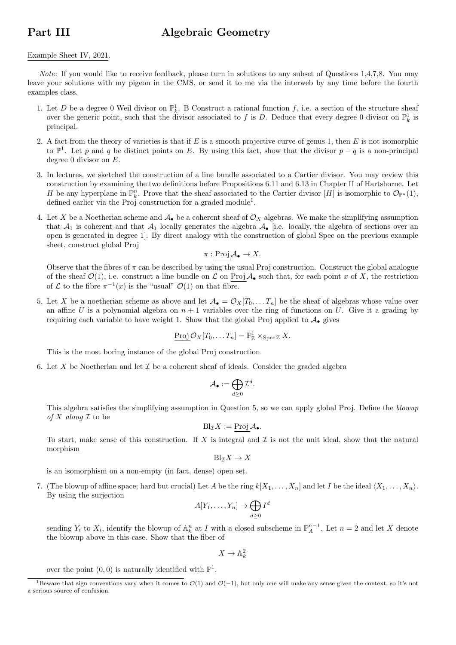## Part III Algebraic Geometry

## Example Sheet IV, 2021.

Note: If you would like to receive feedback, please turn in solutions to any subset of Questions 1,4,7,8. You may leave your solutions with my pigeon in the CMS, or send it to me via the interweb by any time before the fourth examples class.

- 1. Let D be a degree 0 Weil divisor on  $\mathbb{P}_k^1$ . B Construct a rational function f, i.e. a section of the structure sheaf over the generic point, such that the divisor associated to f is D. Deduce that every degree 0 divisor on  $\mathbb{P}^1_k$  is principal.
- 2. A fact from the theory of varieties is that if E is a smooth projective curve of genus 1, then E is not isomorphic to  $\mathbb{P}^1$ . Let p and q be distinct points on E. By using this fact, show that the divisor  $p - q$  is a non-principal degree 0 divisor on E.
- 3. In lectures, we sketched the construction of a line bundle associated to a Cartier divisor. You may review this construction by examining the two definitions before Propositions 6.11 and 6.13 in Chapter II of Hartshorne. Let H be any hyperplane in  $\mathbb{P}_k^n$ . Prove that the sheaf associated to the Cartier divisor  $[H]$  is isomorphic to  $\mathcal{O}_{\mathbb{P}^n}(1)$ , defined earlier via the Proj construction for a graded module<sup>1</sup>.
- 4. Let X be a Noetherian scheme and  $\mathcal{A}_{\bullet}$  be a coherent sheaf of  $\mathcal{O}_X$  algebras. We make the simplifying assumption that  $\mathcal{A}_1$  is coherent and that  $\mathcal{A}_1$  locally generates the algebra  $\mathcal{A}_\bullet$  [i.e. locally, the algebra of sections over an open is generated in degree 1]. By direct analogy with the construction of global Spec on the previous example sheet, construct global Proj

$$
\pi: \operatorname{Proj} \mathcal{A}_{\bullet} \to X.
$$

Observe that the fibres of  $\pi$  can be described by using the usual Proj construction. Construct the global analogue of the sheaf  $\mathcal{O}(1)$ , i.e. construct a line bundle on L on Proj  $\mathcal{A}_{\bullet}$  such that, for each point x of X, the restriction of  $\mathcal L$  to the fibre  $\pi^{-1}(x)$  is the "usual"  $\mathcal O(1)$  on that fibre.

5. Let X be a noetherian scheme as above and let  $\mathcal{A}_{\bullet} = \mathcal{O}_X[T_0, \ldots T_n]$  be the sheaf of algebras whose value over an affine U is a polynomial algebra on  $n + 1$  variables over the ring of functions on U. Give it a grading by requiring each variable to have weight 1. Show that the global Proj applied to  $\mathcal{A}_{\bullet}$  gives

$$
\operatorname{Proj} \mathcal{O}_X[T_0, \ldots T_n] = \mathbb{P}^1_{\mathbb{Z}} \times_{\operatorname{Spec} \mathbb{Z}} X.
$$

This is the most boring instance of the global Proj construction.

6. Let X be Noetherian and let  $\mathcal I$  be a coherent sheaf of ideals. Consider the graded algebra

$$
\mathcal{A}_\bullet:=\bigoplus_{d\geq 0}\mathcal{I}^d.
$$

This algebra satisfies the simplifying assumption in Question 5, so we can apply global Proj. Define the blowup of X along  $\mathcal I$  to be

$$
Bl_{\mathcal{I}}X := \underline{\operatorname{Proj}}\,\mathcal{A}_{\bullet}.
$$

To start, make sense of this construction. If X is integral and  $\mathcal I$  is not the unit ideal, show that the natural morphism

$$
Bl_{\mathcal{I}} X \to X
$$

is an isomorphism on a non-empty (in fact, dense) open set.

7. (The blowup of affine space; hard but crucial) Let A be the ring  $k[X_1, \ldots, X_n]$  and let I be the ideal  $\langle X_1, \ldots, X_n \rangle$ . By using the surjection

$$
A[Y_1,\ldots,Y_n] \to \bigoplus_{d \geq 0} I^d
$$

sending  $Y_i$  to  $X_i$ , identify the blowup of  $\mathbb{A}_k^n$  at I with a closed subscheme in  $\mathbb{P}_A^{n-1}$ . Let  $n=2$  and let X denote the blowup above in this case. Show that the fiber of

 $X \to \mathbb{A}^2_k$ 

over the point  $(0,0)$  is naturally identified with  $\mathbb{P}^1$ .

<sup>&</sup>lt;sup>1</sup>Beware that sign conventions vary when it comes to  $\mathcal{O}(1)$  and  $\mathcal{O}(-1)$ , but only one will make any sense given the context, so it's not a serious source of confusion.